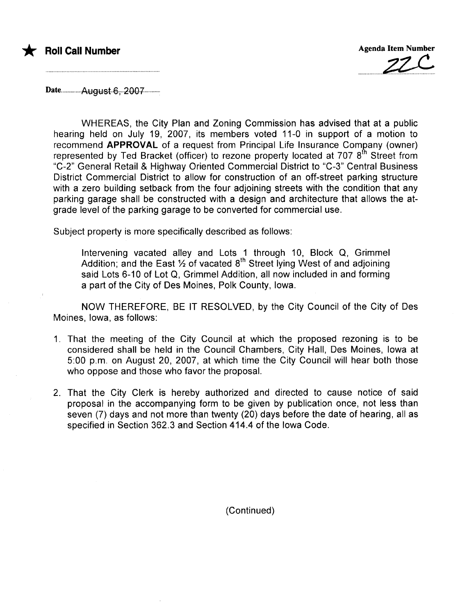



Date..................August..6ï...200T............

WHEREAS, the City Plan and Zoning Commission has advised that at a public hearing held on July 19, 2007, its members voted 11-0 in support of a motion to recommend APPROVAL of a request from Principal Life Insurance Comgany (owner) represented by Ted Bracket (officer) to rezone property located at 707  $8<sup>th</sup>$  Street from "C-2" General Retail & Highway Oriented Commercial District to "C-3" Central Business District Commercial District to allow for construction of an off-street parking structure with a zero building setback from the four adjoining streets with the condition that any parking garage shall be constructed with a design and architecture that allows the atgrade level of the parking garage to be converted for commercial use.

Subject property is more specifically described as follows:

Intervening vacated alley and Lots 1 through 10, Block Q, Grimmel Addition; and the East  $\frac{1}{2}$  of vacated 8<sup>th</sup> Street lying West of and adjoining said Lots 6-10 of Lot Q, Grimmel Addition, all now included in and forming a part of the City of Des Moines, Polk County, Iowa.

NOW THEREFORE, BE IT RESOLVED, by the City Council of the City of Des Moines, Iowa, as follows:

- 1. That the meeting of the City Council at which the proposed rezoning is to be considered shall be held in the Council Chambers, City Hall, Des Moines, Iowa at 5:00 p.m. on August 20, 2007, at which time the City Council will hear both those who oppose and those who favor the proposal.
- 2. That the City Clerk is hereby authorized and directed to cause notice of said proposal in the accompanying form to be given by publication once, not less than seven (7) days and not more than twenty (20) days before the date of hearing, all as specified in Section 362.3 and Section 414.4 of the Iowa Code.

(Continued)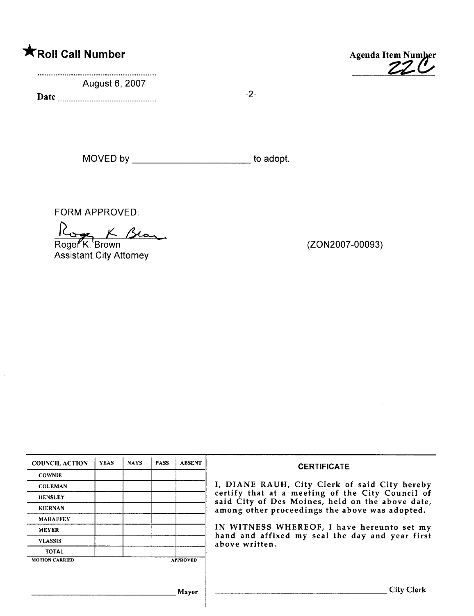# **Example 2018** Number Agenda Item Number

August 6, 2007

Date  $\frac{1}{2}$ -2-



MOVED by \_\_\_\_\_\_\_\_\_\_\_\_\_\_\_\_\_\_\_\_\_\_\_\_\_\_\_\_ to adopt.

FORM APPROVED:

Roger K Brown

Assistant City Attorney

(ZON2007 -00093)

| <b>COUNCIL ACTION</b> | <b>YEAS</b> | <b>NAYS</b> | <b>PASS</b> | <b>ABSENT</b>   | <b>CERTIFICATE</b>                                                                                   |
|-----------------------|-------------|-------------|-------------|-----------------|------------------------------------------------------------------------------------------------------|
| <b>COWNIE</b>         |             |             |             |                 |                                                                                                      |
| <b>COLEMAN</b>        |             |             |             |                 | I, DIANE RAUH, City Clerk of said City hereby                                                        |
| <b>HENSLEY</b>        |             |             |             |                 | certify that at a meeting of the City Council of<br>said City of Des Moines, held on the above date, |
| <b>KIERNAN</b>        |             |             |             |                 | among other proceedings the above was adopted.                                                       |
| <b>MAHAFFEY</b>       |             |             |             |                 |                                                                                                      |
| <b>MEYER</b>          |             |             |             |                 | IN WITNESS WHEREOF, I have hereunto set my                                                           |
| <b>VLASSIS</b>        |             |             |             |                 | hand and affixed my seal the day and year first<br>above written.                                    |
| <b>TOTAL</b>          |             |             |             |                 |                                                                                                      |
| <b>MOTION CARRIED</b> |             |             |             | <b>APPROVED</b> |                                                                                                      |
|                       |             |             |             |                 |                                                                                                      |
|                       |             |             |             |                 |                                                                                                      |
|                       |             |             |             | Mayor           | <b>City Clerk</b>                                                                                    |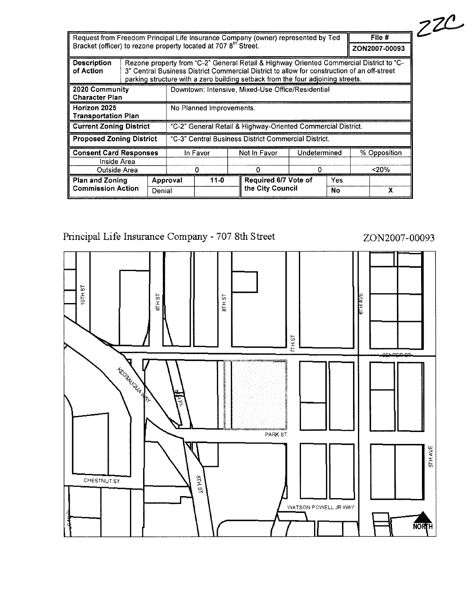| File #<br>Request from Freedom Principal Life Insurance Company (owner) represented by Ted<br>Bracket (officer) to rezone property located at 707 8 <sup>th</sup> Street.<br>ZON2007-00093 |                                                                                                |                          |                                                                                                                                                                                                                                                                           |          |   |                                                      |              |            |     |              |  |  |
|--------------------------------------------------------------------------------------------------------------------------------------------------------------------------------------------|------------------------------------------------------------------------------------------------|--------------------------|---------------------------------------------------------------------------------------------------------------------------------------------------------------------------------------------------------------------------------------------------------------------------|----------|---|------------------------------------------------------|--------------|------------|-----|--------------|--|--|
| <b>Description</b><br>of Action                                                                                                                                                            |                                                                                                |                          | Rezone property from "C-2" General Retail & Highway Oriented Commercial District to "C-<br>3" Central Business District Commercial District to allow for construction of an off-street<br>parking structure with a zero building setback from the four adjoining streets. |          |   |                                                      |              |            |     |              |  |  |
| 2020 Community<br>Downtown: Intensive, Mixed-Use Office/Residential<br><b>Character Plan</b>                                                                                               |                                                                                                |                          |                                                                                                                                                                                                                                                                           |          |   |                                                      |              |            |     |              |  |  |
| Horizon 2025<br>Transportation Plan                                                                                                                                                        |                                                                                                | No Planned Improvements. |                                                                                                                                                                                                                                                                           |          |   |                                                      |              |            |     |              |  |  |
|                                                                                                                                                                                            | "C-2" General Retail & Highway-Oriented Commercial District.<br><b>Current Zoning District</b> |                          |                                                                                                                                                                                                                                                                           |          |   |                                                      |              |            |     |              |  |  |
| <b>Proposed Zoning District</b>                                                                                                                                                            |                                                                                                |                          |                                                                                                                                                                                                                                                                           |          |   | "C-3" Central Business District Commercial District. |              |            |     |              |  |  |
|                                                                                                                                                                                            | <b>Consent Card Responses</b><br>Inside Area                                                   |                          |                                                                                                                                                                                                                                                                           | In Favor |   | Not In Favor                                         | Undetermined |            |     | % Opposition |  |  |
| Outside Area                                                                                                                                                                               |                                                                                                |                          | 0                                                                                                                                                                                                                                                                         |          | Ω | 0                                                    |              |            | 20% |              |  |  |
| <b>Plan and Zoning</b>                                                                                                                                                                     |                                                                                                |                          | $11 - 0$<br>Approval                                                                                                                                                                                                                                                      |          |   | Required 6/7 Vote of                                 |              | <b>Yes</b> |     |              |  |  |
| <b>Commission Action</b>                                                                                                                                                                   |                                                                                                | Denial                   |                                                                                                                                                                                                                                                                           |          |   | the City Council                                     |              | No         | х   |              |  |  |

Principal Life Insurance Company - 707 8th Street

 $10THST$ **BIHAVE** I-CI I 5;  $R$ H $S$ T  $7T + 8T$ **Procession Report** PARK ST il ~ i Iõ $18 + 18$ **CHESTNUT ST** WATSON POWELL JR WAY NORTH

# ZO N2007 - 00093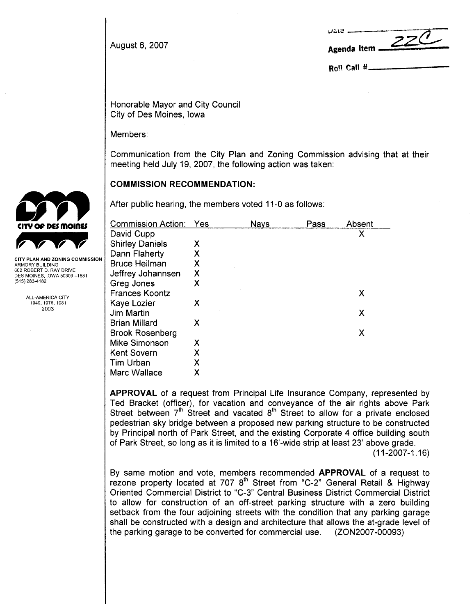|                | Uale <b>__________________</b> |
|----------------|--------------------------------|
| August 6, 2007 | ZZC<br>Agenda Item $\leq$      |

Roll Call #.

Honorable Mayor and City Council City of Des Moines, Iowa

Members:

Communication from the City Plan and Zoning Commission advising that at their meeting held July 19, 2007, the following action was taken:

## COMMISSION RECOMMENDATION:

After public hearing, the members voted 11-0 as follows:

| Commission Action:     | Yes | <b>Nays</b> | Pass | Absent |
|------------------------|-----|-------------|------|--------|
| David Cupp             |     |             |      | χ      |
| <b>Shirley Daniels</b> | X   |             |      |        |
| Dann Flaherty          | х   |             |      |        |
| <b>Bruce Heilman</b>   | Χ   |             |      |        |
| Jeffrey Johannsen      | Χ   |             |      |        |
| Greg Jones             | Χ   |             |      |        |
| <b>Frances Koontz</b>  |     |             |      | Х      |
| Kaye Lozier            | Х   |             |      |        |
| Jim Martin             |     |             |      | Χ      |
| Brian Millard          | X   |             |      |        |
| <b>Brook Rosenberg</b> |     |             |      | X      |
| Mike Simonson          | X   |             |      |        |
| <b>Kent Sovern</b>     | χ   |             |      |        |
| Tim Urban              | χ   |             |      |        |
| Marc Wallace           | Χ   |             |      |        |

APPROVAL of a request from Principal Life Insurance Company, represented by Ted Bracket (officer), for vacation and conveyance of the air rights above Park Street between  $7<sup>th</sup>$  Street and vacated  $8<sup>th</sup>$  Street to allow for a private enclosed pedestrian sky bridge between a proposed new parking structure to be constructed by Principal north of Park Street, and the existing Corporate 4 office building south of Park Street, so long as it is limited to a 16'-wide strip at least 23' above grade.

(11-2007-1.16)

By same motion and vote, members recommended APPROVAL of a request to rezone property located at 707  $8<sup>th</sup>$  Street from "C-2" General Retail & Highway Oriented Commercial District to "C-3" Central Business District Commercial District to allow for construction of an off-street parking structure with a zero building setback from the four adjoining streets with the condition that any parking garage shall be constructed with a design and architecture that allows the at-grade level of the parking garage to be converted for commercial use. (ZON2007-00093)



ARMORY BUILDING 602 ROBERT D. RAY DRIVE DES MOINES. IOWA 50309 -1881 (515) 283-4182

> ALL-AMERICA CITY 1949,1976,1981 2003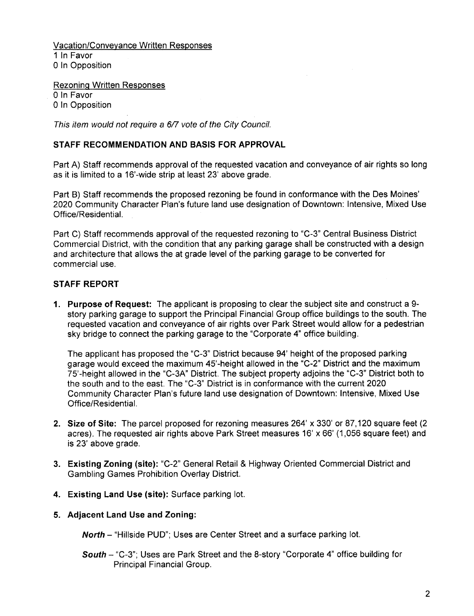Vacation/Conveyance Written Responses 1 In Favor 0 In Opposition

Rezoning Written Responses o In Favor o In Opposition

This item would not require a 6/7 vote of the City Council.

## STAFF RECOMMENDATION AND BASIS FOR APPROVAL

Part A) Staff recommends approval of the requested vacation and conveyance of air rights so long as it is limited to a 16'-wide strip at least 23' above grade.

Part B) Staff recommends the proposed rezoning be found in conformance with the Des Moines' 2020 Community Character Plan's future land use designation of Downtown: Intensive, Mixed Use Office/ResidentiaL.

Part C) Staff recommends approval of the requested rezoning to "C-3" Central Business District Commercial District, with the condition that any parking garage shall be constructed with a design and architecture that allows the at grade level of the parking garage to be converted for commercial use.

#### STAFF REPORT

1. Purpose of Request: The applicant is proposing to clear the subject site and construct a 9 story parking garage to support the Principal Financial Group office buildings to the south. The requested vacation and conveyance of air rights over Park Street would allow for a pedestrian sky bridge to connect the parking garage to the "Corporate 4" office building.

The applicant has proposed the "C\_3" District because 94' height of the proposed parking garage would exceed the maximum 45'-height allowed in the "C-2" District and the maximum 75'-height allowed in the "C-3A" District. The subject property adjoins the "C-3" District both to the south and to the east. The "C-3" District is in conformance with the current 2020 Community Character Plan's future land use designation of Downtown: Intensive, Mixed Use Office/Residential.

- 2. Size of Site: The parcel proposed for rezoning measures 264' x 330' or 87,120 square feet (2 acres). The requested air rights above Park Street measures 16' x 66' (1,056 square feet) and is 23' above grade.
- 3. Existing Zoning (site): "C-2" General Retail & Highway Oriented Commercial District and Gambling Games Prohibition Overlay District.
- 4. Existing Land Use (site): Surface parking lot.
- 5. Adjacent Land Use and Zoning:

North - "Hillside PUD"; Uses are Center Street and a surface parking lot.

South - "C-3"; Uses are Park Street and the 8-story "Corporate 4" office building for Principal Financial Group.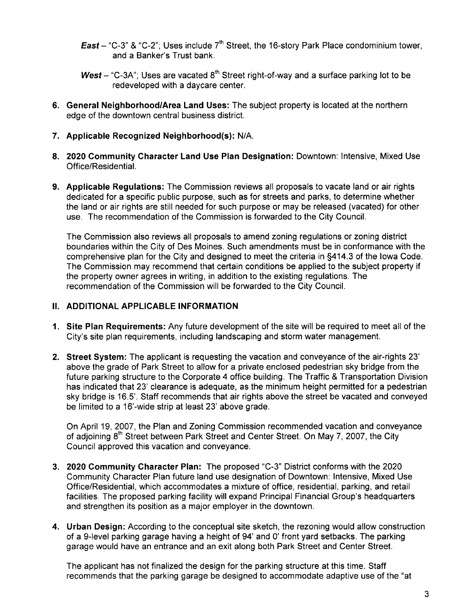- **East** "C-3" & "C-2"; Uses include  $7<sup>th</sup>$  Street, the 16-story Park Place condominium tower, and a Banker's Trust bank.
- West "C-3A"; Uses are vacated  $8<sup>th</sup>$  Street right-of-way and a surface parking lot to be redeveloped with a daycare center.
- 6. General Neighborhood/Area Land Uses: The subject property is located at the northern edge of the downtown central business district.
- 7. Applicable Recognized Neighborhood(s): N/A.
- 8. 2020 Community Character Land Use Plan Designation: Downtown: Intensive, Mixed Use Office/ResidentiaL.
- 9. Applicable Regulations: The Commission reviews all proposals to vacate land or air rights dedicated for a specific public purpose, such as for streets and parks, to determine whether the land or air rights are still needed for such purpose or may be released (vacated) for other use. The recommendation of the Commission is forwarded to the City CounciL.

The Commission also reviews all proposals to amend zoning regulations or zoning district boundaries within the City of Des Moines. Such amendments must be in conformance with the comprehensive plan for the City and designed to meet the criteria in §414.3 of the Iowa Code. The Commission may recommend that certain conditions be applied to the subject property if the property owner agrees in writing, in addition to the existing regulations. The recommendation of the Commission will be forwarded to the City CounciL.

#### II. ADDITIONAL APPLICABLE INFORMATION

- 1. Site Plan Requirements: Any future development of the site will be required to meet all of the City's site plan requirements, including landscaping and storm water management.
- 2. Street System: The applicant is requesting the vacation and conveyance of the air-rights 23' above the grade of Park Street to allow for a private enclosed pedestrian sky bridge from the future parking structure to the Corporate 4 office building. The Traffic & Transportation Division has indicated that 23' clearance is adequate, as the minimum height permitted for a pedestrian sky bridge is 16.5'. Staff recommends that air rights above the street be vacated and conveyed be limited to a 16'-wide strip at least 23' above grade.

On April 19, 2007, the Plan and Zoning Commission recommended vacation and conveyance of adjoining  $8<sup>th</sup>$  Street between Park Street and Center Street. On May 7, 2007, the City Council approved this vacation and conveyance.

- 3. 2020 Community Character Plan: The proposed "C-3" District conforms with the 2020 Community Character Plan future land use designation of Downtown: Intensive, Mixed Use Office/Residential, which accommodates a mixture of office, residential, parking, and retail facilities. The proposed parking facility will expand Principal Financial Group's headquarters and strengthen its position as a major employer in the downtown.
- 4. Urban Design: According to the conceptual site sketch, the rezoning would allow construction of a 9-level parking garage having a height of 94' and 0' front yard setbacks. The parking garage would have an entrance and an exit along both Park Street and Center Street.

The applicant has not finalized the design for the parking structure at this time. Staff recommends that the parking garage be designed to accommodate adaptive use of the "at